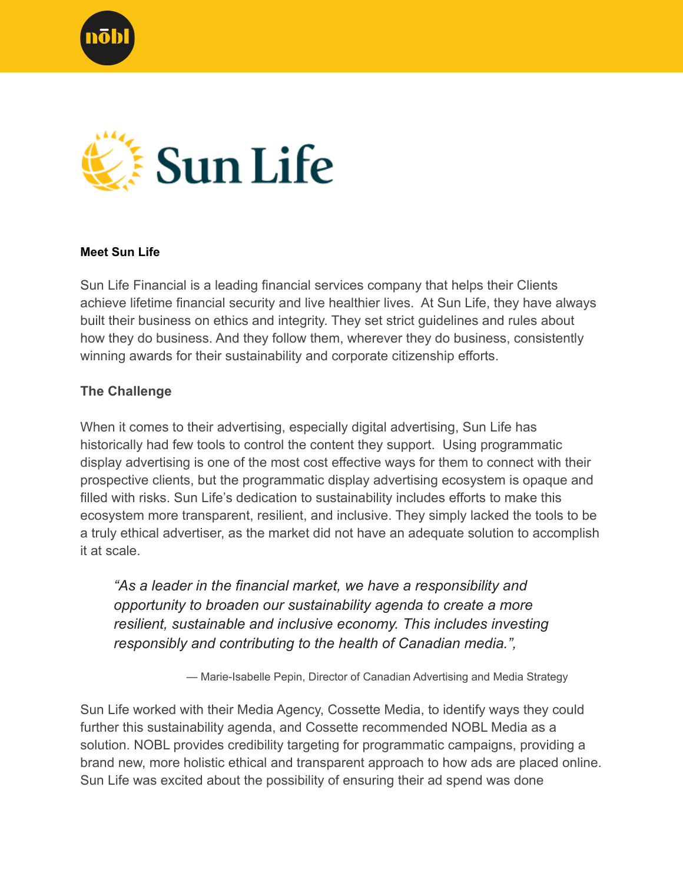



#### **Meet Sun Life**

Sun Life Financial is a leading financial services company that helps their Clients achieve lifetime financial security and live healthier lives. At Sun Life, they have always built their business on ethics and integrity. They set strict guidelines and rules about how they do business. And they follow them, wherever they do business, consistently winning awards for their sustainability and corporate citizenship efforts.

#### **The Challenge**

When it comes to their advertising, especially digital advertising, Sun Life has historically had few tools to control the content they support. Using programmatic display advertising is one of the most cost effective ways for them to connect with their prospective clients, but the programmatic display advertising ecosystem is opaque and filled with risks. Sun Life's dedication to sustainability includes efforts to make this ecosystem more transparent, resilient, and inclusive. They simply lacked the tools to be a truly ethical advertiser, as the market did not have an adequate solution to accomplish it at scale.

*"As a leader in the financial market, we have a responsibility and opportunity to broaden our sustainability agenda to create a more resilient, sustainable and inclusive economy. This includes investing responsibly and contributing to the health of Canadian media.",*

— Marie-Isabelle Pepin, Director of Canadian Advertising and Media Strategy

Sun Life worked with their Media Agency, Cossette Media, to identify ways they could further this sustainability agenda, and Cossette recommended NOBL Media as a solution. NOBL provides credibility targeting for programmatic campaigns, providing a brand new, more holistic ethical and transparent approach to how ads are placed online. Sun Life was excited about the possibility of ensuring their ad spend was done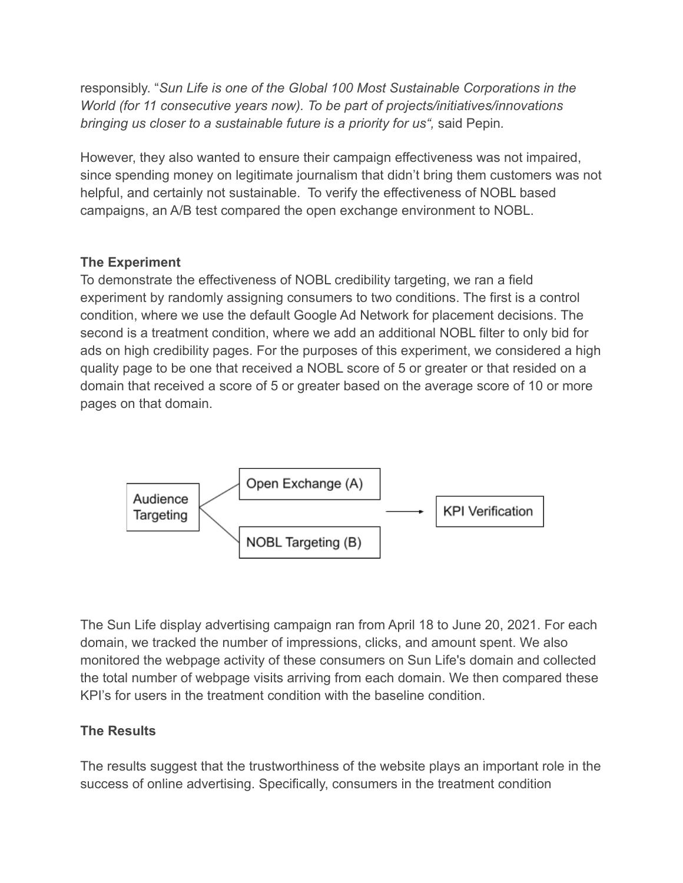responsibly. "*Sun Life is one of the Global 100 Most Sustainable Corporations in the World (for 11 consecutive years now). To be part of projects/initiatives/innovations bringing us closer to a sustainable future is a priority for us",* said Pepin*.*

However, they also wanted to ensure their campaign effectiveness was not impaired, since spending money on legitimate journalism that didn't bring them customers was not helpful, and certainly not sustainable. To verify the effectiveness of NOBL based campaigns, an A/B test compared the open exchange environment to NOBL.

# **The Experiment**

To demonstrate the effectiveness of NOBL credibility targeting, we ran a field experiment by randomly assigning consumers to two conditions. The first is a control condition, where we use the default Google Ad Network for placement decisions. The second is a treatment condition, where we add an additional NOBL filter to only bid for ads on high credibility pages. For the purposes of this experiment, we considered a high quality page to be one that received a NOBL score of 5 or greater or that resided on a domain that received a score of 5 or greater based on the average score of 10 or more pages on that domain.



The Sun Life display advertising campaign ran from April 18 to June 20, 2021. For each domain, we tracked the number of impressions, clicks, and amount spent. We also monitored the webpage activity of these consumers on Sun Life's domain and collected the total number of webpage visits arriving from each domain. We then compared these KPI's for users in the treatment condition with the baseline condition.

### **The Results**

The results suggest that the trustworthiness of the website plays an important role in the success of online advertising. Specifically, consumers in the treatment condition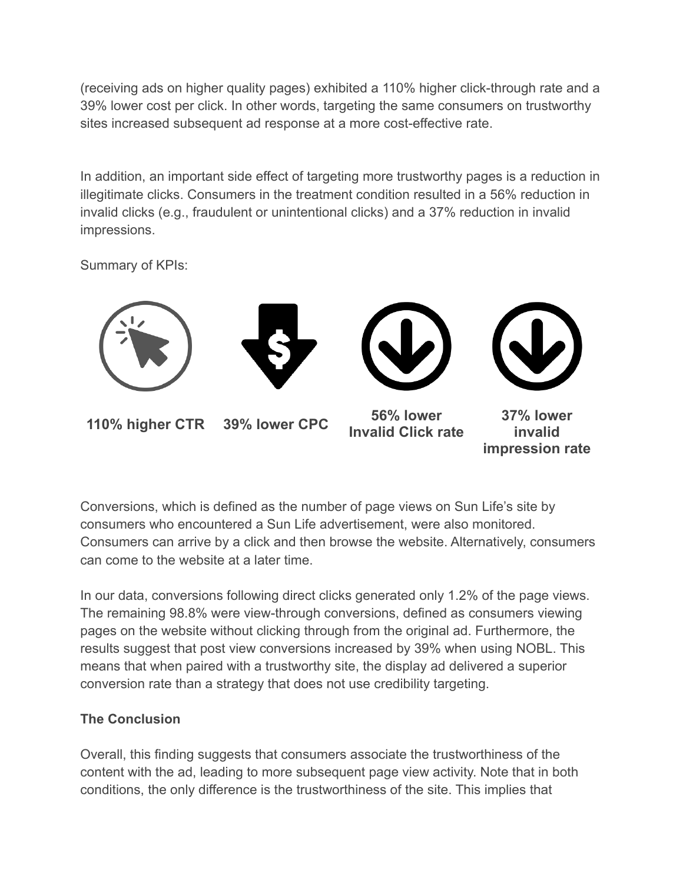(receiving ads on higher quality pages) exhibited a 110% higher click-through rate and a 39% lower cost per click. In other words, targeting the same consumers on trustworthy sites increased subsequent ad response at a more cost-effective rate.

In addition, an important side effect of targeting more trustworthy pages is a reduction in illegitimate clicks. Consumers in the treatment condition resulted in a 56% reduction in invalid clicks (e.g., fraudulent or unintentional clicks) and a 37% reduction in invalid impressions.

Summary of KPIs:



Conversions, which is defined as the number of page views on Sun Life's site by consumers who encountered a Sun Life advertisement, were also monitored. Consumers can arrive by a click and then browse the website. Alternatively, consumers can come to the website at a later time.

In our data, conversions following direct clicks generated only 1.2% of the page views. The remaining 98.8% were view-through conversions, defined as consumers viewing pages on the website without clicking through from the original ad. Furthermore, the results suggest that post view conversions increased by 39% when using NOBL. This means that when paired with a trustworthy site, the display ad delivered a superior conversion rate than a strategy that does not use credibility targeting.

# **The Conclusion**

Overall, this finding suggests that consumers associate the trustworthiness of the content with the ad, leading to more subsequent page view activity. Note that in both conditions, the only difference is the trustworthiness of the site. This implies that